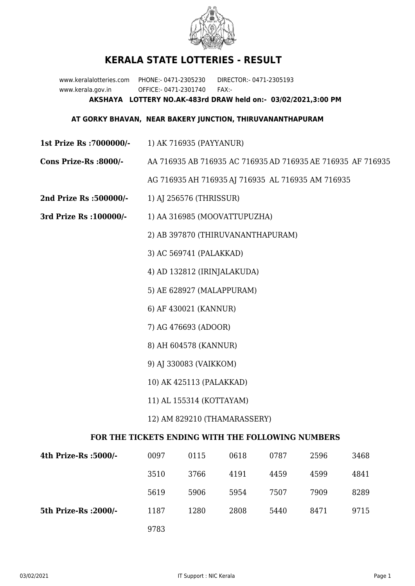

## **KERALA STATE LOTTERIES - RESULT**

www.keralalotteries.com PHONE:- 0471-2305230 DIRECTOR:- 0471-2305193 www.kerala.gov.in OFFICE:- 0471-2301740 FAX:- **AKSHAYA LOTTERY NO.AK-483rd DRAW held on:- 03/02/2021,3:00 PM**

## **AT GORKY BHAVAN, NEAR BAKERY JUNCTION, THIRUVANANTHAPURAM**

- **1st Prize Rs :7000000/-** 1) AK 716935 (PAYYANUR)
- **Cons Prize-Rs :8000/-** AA 716935 AB 716935 AC 716935 AD 716935 AE 716935 AF 716935

AG 716935 AH 716935 AJ 716935 AL 716935 AM 716935

- **2nd Prize Rs :500000/-** 1) AJ 256576 (THRISSUR)
- **3rd Prize Rs :100000/-** 1) AA 316985 (MOOVATTUPUZHA)

2) AB 397870 (THIRUVANANTHAPURAM)

3) AC 569741 (PALAKKAD)

4) AD 132812 (IRINJALAKUDA)

- 5) AE 628927 (MALAPPURAM)
- 6) AF 430021 (KANNUR)
- 7) AG 476693 (ADOOR)
- 8) AH 604578 (KANNUR)
- 9) AJ 330083 (VAIKKOM)
- 10) AK 425113 (PALAKKAD)
- 11) AL 155314 (KOTTAYAM)

## 12) AM 829210 (THAMARASSERY)

## **FOR THE TICKETS ENDING WITH THE FOLLOWING NUMBERS**

| 4th Prize-Rs :5000/-  | 0097 | 0115 | 0618 | 0787 | 2596 | 3468 |
|-----------------------|------|------|------|------|------|------|
|                       | 3510 | 3766 | 4191 | 4459 | 4599 | 4841 |
|                       | 5619 | 5906 | 5954 | 7507 | 7909 | 8289 |
| 5th Prize-Rs : 2000/- | 1187 | 1280 | 2808 | 5440 | 8471 | 9715 |
|                       | 9783 |      |      |      |      |      |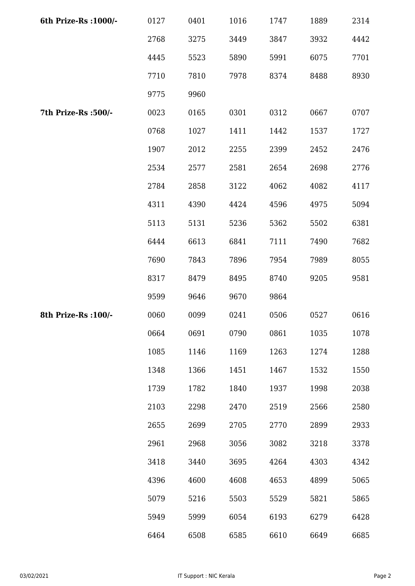| 6th Prize-Rs : 1000/- | 0127 | 0401 | 1016 | 1747 | 1889 | 2314 |
|-----------------------|------|------|------|------|------|------|
|                       | 2768 | 3275 | 3449 | 3847 | 3932 | 4442 |
|                       | 4445 | 5523 | 5890 | 5991 | 6075 | 7701 |
|                       | 7710 | 7810 | 7978 | 8374 | 8488 | 8930 |
|                       | 9775 | 9960 |      |      |      |      |
| 7th Prize-Rs :500/-   | 0023 | 0165 | 0301 | 0312 | 0667 | 0707 |
|                       | 0768 | 1027 | 1411 | 1442 | 1537 | 1727 |
|                       | 1907 | 2012 | 2255 | 2399 | 2452 | 2476 |
|                       | 2534 | 2577 | 2581 | 2654 | 2698 | 2776 |
|                       | 2784 | 2858 | 3122 | 4062 | 4082 | 4117 |
|                       | 4311 | 4390 | 4424 | 4596 | 4975 | 5094 |
|                       | 5113 | 5131 | 5236 | 5362 | 5502 | 6381 |
|                       | 6444 | 6613 | 6841 | 7111 | 7490 | 7682 |
|                       | 7690 | 7843 | 7896 | 7954 | 7989 | 8055 |
|                       | 8317 | 8479 | 8495 | 8740 | 9205 | 9581 |
|                       | 9599 | 9646 | 9670 | 9864 |      |      |
| 8th Prize-Rs : 100/-  | 0060 | 0099 | 0241 | 0506 | 0527 | 0616 |
|                       | 0664 | 0691 | 0790 | 0861 | 1035 | 1078 |
|                       | 1085 | 1146 | 1169 | 1263 | 1274 | 1288 |
|                       | 1348 | 1366 | 1451 | 1467 | 1532 | 1550 |
|                       | 1739 | 1782 | 1840 | 1937 | 1998 | 2038 |
|                       | 2103 | 2298 | 2470 | 2519 | 2566 | 2580 |
|                       | 2655 | 2699 | 2705 | 2770 | 2899 | 2933 |
|                       | 2961 | 2968 | 3056 | 3082 | 3218 | 3378 |
|                       | 3418 | 3440 | 3695 | 4264 | 4303 | 4342 |
|                       | 4396 | 4600 | 4608 | 4653 | 4899 | 5065 |
|                       | 5079 | 5216 | 5503 | 5529 | 5821 | 5865 |
|                       | 5949 | 5999 | 6054 | 6193 | 6279 | 6428 |
|                       | 6464 | 6508 | 6585 | 6610 | 6649 | 6685 |